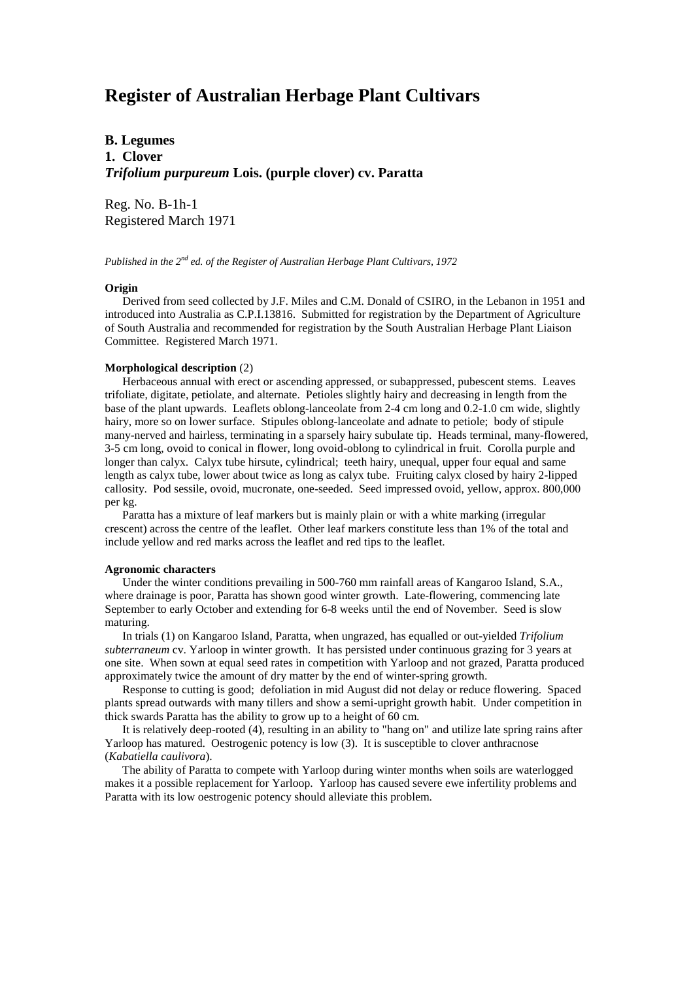# **Register of Australian Herbage Plant Cultivars**

# **B. Legumes 1. Clover** *Trifolium purpureum* **Lois. (purple clover) cv. Paratta**

Reg. No. B-1h-1 Registered March 1971

*Published in the 2nd ed. of the Register of Australian Herbage Plant Cultivars, 1972*

# **Origin**

 Derived from seed collected by J.F. Miles and C.M. Donald of CSIRO, in the Lebanon in 1951 and introduced into Australia as C.P.I.13816. Submitted for registration by the Department of Agriculture of South Australia and recommended for registration by the South Australian Herbage Plant Liaison Committee. Registered March 1971.

#### **Morphological description** (2)

 Herbaceous annual with erect or ascending appressed, or subappressed, pubescent stems. Leaves trifoliate, digitate, petiolate, and alternate. Petioles slightly hairy and decreasing in length from the base of the plant upwards. Leaflets oblong-lanceolate from 2-4 cm long and 0.2-1.0 cm wide, slightly hairy, more so on lower surface. Stipules oblong-lanceolate and adnate to petiole; body of stipule many-nerved and hairless, terminating in a sparsely hairy subulate tip. Heads terminal, many-flowered, 3-5 cm long, ovoid to conical in flower, long ovoid-oblong to cylindrical in fruit. Corolla purple and longer than calyx. Calyx tube hirsute, cylindrical; teeth hairy, unequal, upper four equal and same length as calyx tube, lower about twice as long as calyx tube. Fruiting calyx closed by hairy 2-lipped callosity. Pod sessile, ovoid, mucronate, one-seeded. Seed impressed ovoid, yellow, approx. 800,000 per kg.

 Paratta has a mixture of leaf markers but is mainly plain or with a white marking (irregular crescent) across the centre of the leaflet. Other leaf markers constitute less than 1% of the total and include yellow and red marks across the leaflet and red tips to the leaflet.

# **Agronomic characters**

 Under the winter conditions prevailing in 500-760 mm rainfall areas of Kangaroo Island, S.A., where drainage is poor, Paratta has shown good winter growth. Late-flowering, commencing late September to early October and extending for 6-8 weeks until the end of November. Seed is slow maturing.

 In trials (1) on Kangaroo Island, Paratta, when ungrazed, has equalled or out-yielded *Trifolium subterraneum* cv. Yarloop in winter growth. It has persisted under continuous grazing for 3 years at one site. When sown at equal seed rates in competition with Yarloop and not grazed, Paratta produced approximately twice the amount of dry matter by the end of winter-spring growth.

 Response to cutting is good; defoliation in mid August did not delay or reduce flowering. Spaced plants spread outwards with many tillers and show a semi-upright growth habit. Under competition in thick swards Paratta has the ability to grow up to a height of 60 cm.

 It is relatively deep-rooted (4), resulting in an ability to "hang on" and utilize late spring rains after Yarloop has matured. Oestrogenic potency is low (3). It is susceptible to clover anthracnose (*Kabatiella caulivora*).

 The ability of Paratta to compete with Yarloop during winter months when soils are waterlogged makes it a possible replacement for Yarloop. Yarloop has caused severe ewe infertility problems and Paratta with its low oestrogenic potency should alleviate this problem.